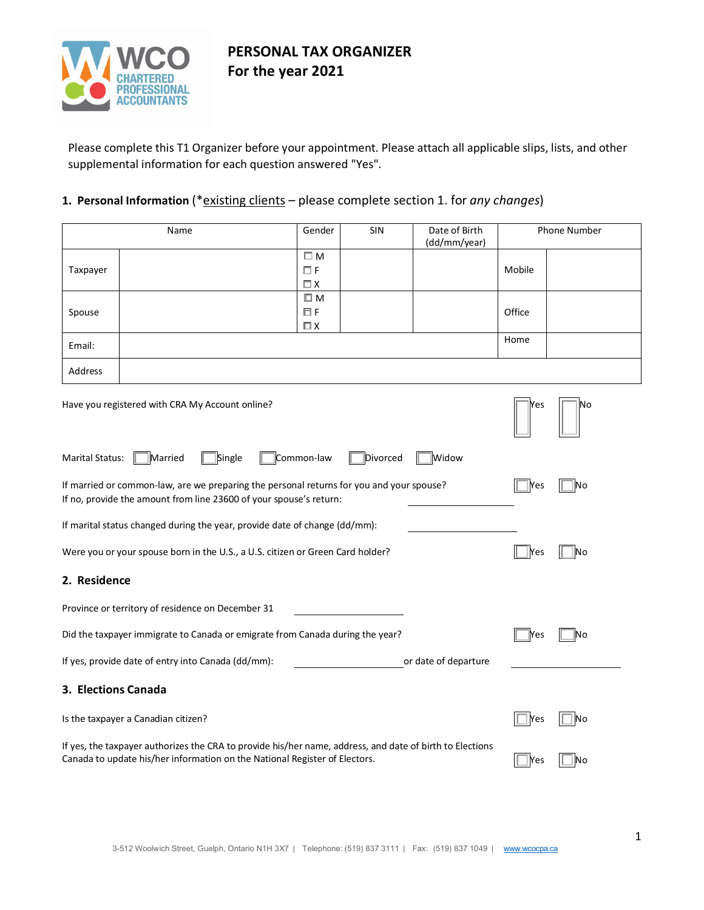

Please complete this T1 Organizer before your appointment. Please attach all applicable slips, lists, and other supplemental information for each question answered "Yes".

### **1. Personal Information** (\*existing clients – please complete section 1. for *any changes*)

|                        | Name                                                                                                                                                                                   | Gender                                 | <b>SIN</b> | Date of Birth<br>(dd/mm/year) |                         | Phone Number |
|------------------------|----------------------------------------------------------------------------------------------------------------------------------------------------------------------------------------|----------------------------------------|------------|-------------------------------|-------------------------|--------------|
| Taxpayer               |                                                                                                                                                                                        | $\square$ M<br>$\Box F$<br>$\square$ X |            |                               | Mobile                  |              |
| Spouse                 |                                                                                                                                                                                        | ШΜ<br>ΠF<br>$\Box$ X                   |            |                               | Office                  |              |
| Email:                 |                                                                                                                                                                                        |                                        |            |                               | Home                    |              |
| Address                |                                                                                                                                                                                        |                                        |            |                               |                         |              |
|                        | Have you registered with CRA My Account online?                                                                                                                                        |                                        |            |                               | Yes                     | Νo           |
| <b>Marital Status:</b> | Married<br>Single                                                                                                                                                                      | Common-law                             | Divorced   | Widow                         |                         |              |
|                        | If married or common-law, are we preparing the personal returns for you and your spouse?<br>If no, provide the amount from line 23600 of your spouse's return:                         |                                        |            |                               | $\mathsf{N}\mathsf{es}$ | No           |
|                        | If marital status changed during the year, provide date of change (dd/mm):                                                                                                             |                                        |            |                               |                         |              |
|                        | Were you or your spouse born in the U.S., a U.S. citizen or Green Card holder?                                                                                                         |                                        |            |                               | Yes                     | No           |
| 2. Residence           |                                                                                                                                                                                        |                                        |            |                               |                         |              |
|                        | Province or territory of residence on December 31                                                                                                                                      |                                        |            |                               |                         |              |
|                        | Did the taxpayer immigrate to Canada or emigrate from Canada during the year?                                                                                                          |                                        |            |                               | Yes                     | No           |
|                        | If yes, provide date of entry into Canada (dd/mm):                                                                                                                                     |                                        |            | or date of departure          |                         |              |
| 3. Elections Canada    |                                                                                                                                                                                        |                                        |            |                               |                         |              |
|                        | Is the taxpayer a Canadian citizen?                                                                                                                                                    |                                        |            |                               | <b>I</b> Yes            | No           |
|                        | If yes, the taxpayer authorizes the CRA to provide his/her name, address, and date of birth to Elections<br>Canada to update his/her information on the National Register of Electors. |                                        |            |                               | Yes                     | No           |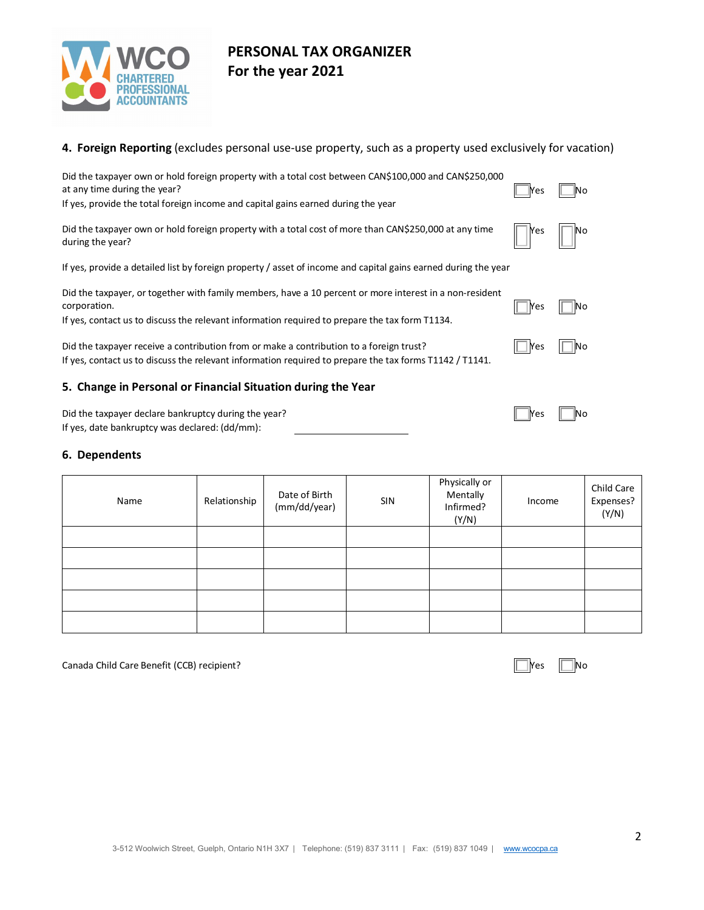

### **4. Foreign Reporting** (excludes personal use-use property, such as a property used exclusively for vacation)

| Did the taxpayer own or hold foreign property with a total cost between CAN\$100,000 and CAN\$250,000<br>at any time during the year?<br>If yes, provide the total foreign income and capital gains earned during the year | <b>Nes</b> | lΝo |
|----------------------------------------------------------------------------------------------------------------------------------------------------------------------------------------------------------------------------|------------|-----|
| Did the taxpayer own or hold foreign property with a total cost of more than CAN\$250,000 at any time<br>during the year?                                                                                                  | Yes        | No  |
| If yes, provide a detailed list by foreign property / asset of income and capital gains earned during the year                                                                                                             |            |     |
| Did the taxpayer, or together with family members, have a 10 percent or more interest in a non-resident<br>corporation.<br>If yes, contact us to discuss the relevant information required to prepare the tax form T1134.  | lYes       | No  |
| Did the taxpayer receive a contribution from or make a contribution to a foreign trust?<br>If yes, contact us to discuss the relevant information required to prepare the tax forms T1142 / T1141.                         | Yes        | lNo |
| 5. Change in Personal or Financial Situation during the Year                                                                                                                                                               |            |     |
| Did the taxpayer declare bankruptcy during the year?<br>If yes, date bankruptcy was declared: (dd/mm):                                                                                                                     | Yes        |     |

### **6. Dependents**

| Name | Relationship | Date of Birth<br>(mm/dd/year) | SIN | Physically or<br>Mentally<br>Infirmed?<br>(Y/N) | Income | Child Care<br>Expenses?<br>(Y/N) |
|------|--------------|-------------------------------|-----|-------------------------------------------------|--------|----------------------------------|
|      |              |                               |     |                                                 |        |                                  |
|      |              |                               |     |                                                 |        |                                  |
|      |              |                               |     |                                                 |        |                                  |
|      |              |                               |     |                                                 |        |                                  |
|      |              |                               |     |                                                 |        |                                  |

Canada Child Care Benefit (CCB) recipient? Yes No Service Service Service Service Service Service Service Service Service Service Service Service Service Service Service Service Service Service Service Service Service Serv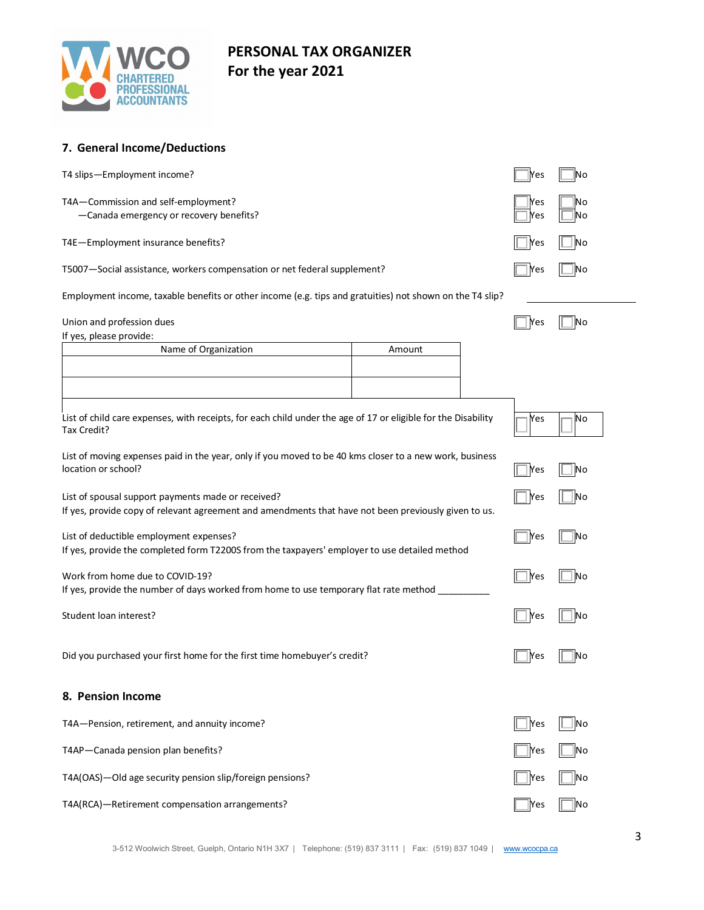

| 7. General Income/Deductions                                                                                                                               |            |          |
|------------------------------------------------------------------------------------------------------------------------------------------------------------|------------|----------|
| T4 slips—Employment income?                                                                                                                                | <b>Yes</b> | Νo       |
| T4A-Commission and self-employment?<br>-Canada emergency or recovery benefits?                                                                             | Yes<br>Yes | No<br>No |
| T4E-Employment insurance benefits?                                                                                                                         | Yes        | No       |
| T5007-Social assistance, workers compensation or net federal supplement?                                                                                   | Yes        | No.      |
| Employment income, taxable benefits or other income (e.g. tips and gratuities) not shown on the T4 slip?                                                   |            |          |
| Union and profession dues<br>If yes, please provide:                                                                                                       | Yes        | No       |
| Name of Organization<br>Amount                                                                                                                             |            |          |
|                                                                                                                                                            |            |          |
| List of child care expenses, with receipts, for each child under the age of 17 or eligible for the Disability<br>Tax Credit?                               | Yes        | No       |
| List of moving expenses paid in the year, only if you moved to be 40 kms closer to a new work, business<br>location or school?                             | Yes        | No       |
| List of spousal support payments made or received?<br>If yes, provide copy of relevant agreement and amendments that have not been previously given to us. | Yes        | No       |
| List of deductible employment expenses?<br>If yes, provide the completed form T2200S from the taxpayers' employer to use detailed method                   | Yes        | No       |
| Work from home due to COVID-19?<br>If yes, provide the number of days worked from home to use temporary flat rate method                                   | <b>Nes</b> | No       |
| Student loan interest?                                                                                                                                     | Yes        | Νo       |
| Did you purchased your first home for the first time homebuyer's credit?                                                                                   |            | No       |
| 8. Pension Income                                                                                                                                          |            |          |
| T4A-Pension, retirement, and annuity income?                                                                                                               | <b>Yes</b> | No       |
| T4AP-Canada pension plan benefits?                                                                                                                         | <b>Yes</b> | No       |

T4A(OAS)—Old age security pension slip/foreign pensions? The No No No No No No No

T4A(RCA)—Retirement compensation arrangements? No example and the set of the set of the No example are not the No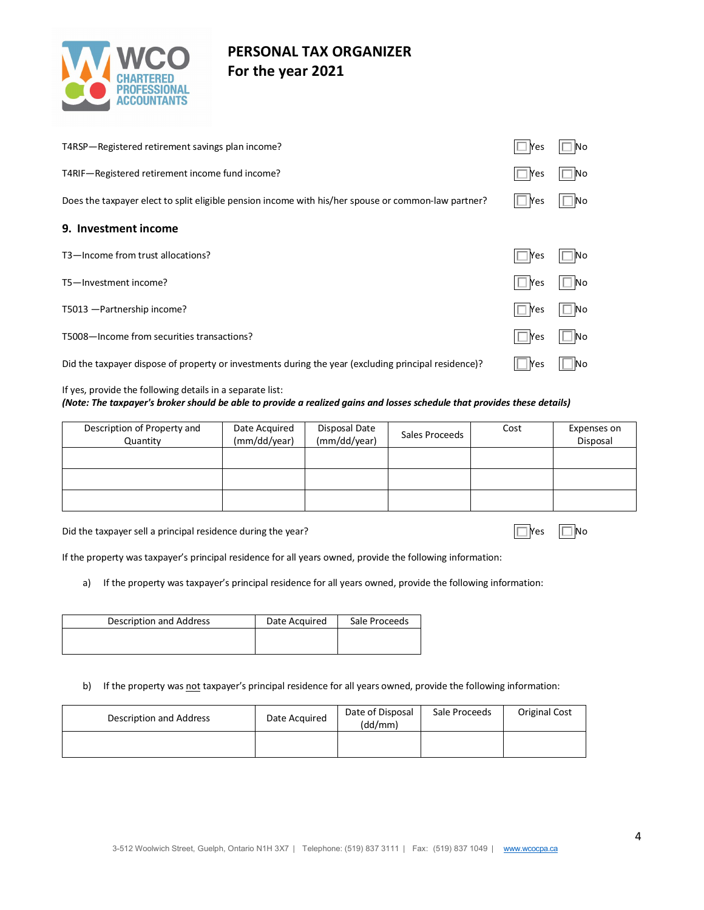

| T4RSP-Registered retirement savings plan income?                                                     | $\Box$ Yes | <b>No</b>    |
|------------------------------------------------------------------------------------------------------|------------|--------------|
| T4RIF-Registered retirement income fund income?                                                      | $\Box$ Yes | 1No          |
| Does the taxpayer elect to split eligible pension income with his/her spouse or common-law partner?  | ll lYes    | $\square$ No |
| 9. Investment income                                                                                 |            |              |
| T3-Income from trust allocations?                                                                    | l Yes      |              |
| T5-Investment income?                                                                                | $\Box$ Yes | l No         |
| T5013 - Partnership income?                                                                          | $\Box$ Yes | $\Box$ No    |
| T5008-Income from securities transactions?                                                           | Yes        | No           |
| Did the taxpayer dispose of property or investments during the year (excluding principal residence)? | $ $ Yes    | <b>No</b>    |

#### If yes, provide the following details in a separate list: *(Note: The taxpayer's broker should be able to provide a realized gains and losses schedule that provides these details)*

| Description of Property and<br>Quantity | Date Acquired<br>(mm/dd/year) | Disposal Date<br>(mm/dd/year) | Sales Proceeds | Cost | Expenses on<br>Disposal |
|-----------------------------------------|-------------------------------|-------------------------------|----------------|------|-------------------------|
|                                         |                               |                               |                |      |                         |
|                                         |                               |                               |                |      |                         |
|                                         |                               |                               |                |      |                         |

Did the taxpayer sell a principal residence during the year?  $\Box$  Yes  $\Box$  No

If the property was taxpayer's principal residence for all years owned, provide the following information:

a) If the property was taxpayer's principal residence for all years owned, provide the following information:

| Description and Address | Date Acquired | Sale Proceeds |
|-------------------------|---------------|---------------|
|                         |               |               |
|                         |               |               |

#### b) If the property was not taxpayer's principal residence for all years owned, provide the following information:

| Description and Address | Date Acquired | Date of Disposal<br>(dd/mm) | Sale Proceeds | Original Cost |
|-------------------------|---------------|-----------------------------|---------------|---------------|
|                         |               |                             |               |               |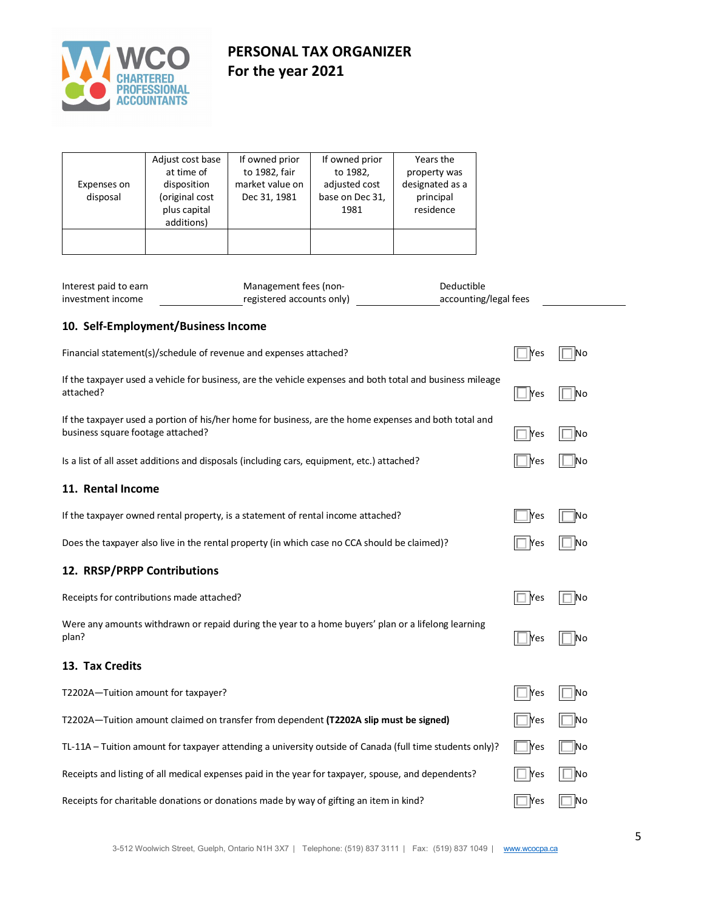

| Expenses on<br>disposal                                                                                                                    | Adjust cost base<br>at time of<br>disposition<br>(original cost<br>plus capital              | If owned prior<br>to 1982, fair<br>market value on<br>Dec 31, 1981 | If owned prior<br>to 1982,<br>adjusted cost<br>base on Dec 31,<br>1981 | Years the<br>property was<br>designated as a<br>principal<br>residence |     |    |
|--------------------------------------------------------------------------------------------------------------------------------------------|----------------------------------------------------------------------------------------------|--------------------------------------------------------------------|------------------------------------------------------------------------|------------------------------------------------------------------------|-----|----|
|                                                                                                                                            | additions)                                                                                   |                                                                    |                                                                        |                                                                        |     |    |
| Interest paid to earn<br>investment income                                                                                                 |                                                                                              | Management fees (non-<br>registered accounts only)                 |                                                                        | Deductible<br>accounting/legal fees                                    |     |    |
|                                                                                                                                            | 10. Self-Employment/Business Income                                                          |                                                                    |                                                                        |                                                                        |     |    |
|                                                                                                                                            | Financial statement(s)/schedule of revenue and expenses attached?                            |                                                                    |                                                                        |                                                                        | Yes | No |
| If the taxpayer used a vehicle for business, are the vehicle expenses and both total and business mileage<br>attached?                     |                                                                                              |                                                                    |                                                                        |                                                                        |     | No |
| If the taxpayer used a portion of his/her home for business, are the home expenses and both total and<br>business square footage attached? | Yes                                                                                          | No                                                                 |                                                                        |                                                                        |     |    |
|                                                                                                                                            | Is a list of all asset additions and disposals (including cars, equipment, etc.) attached?   |                                                                    |                                                                        |                                                                        | Yes | No |
| 11. Rental Income                                                                                                                          |                                                                                              |                                                                    |                                                                        |                                                                        |     |    |
|                                                                                                                                            | If the taxpayer owned rental property, is a statement of rental income attached?             |                                                                    |                                                                        |                                                                        | Yes | Νo |
|                                                                                                                                            | Does the taxpayer also live in the rental property (in which case no CCA should be claimed)? |                                                                    |                                                                        |                                                                        | Yes | Νo |
| 12. RRSP/PRPP Contributions                                                                                                                |                                                                                              |                                                                    |                                                                        |                                                                        |     |    |
|                                                                                                                                            | Receipts for contributions made attached?                                                    |                                                                    |                                                                        |                                                                        | Yes | Νo |
| Were any amounts withdrawn or repaid during the year to a home buyers' plan or a lifelong learning<br>plan?                                |                                                                                              |                                                                    |                                                                        |                                                                        |     | No |
| 13. Tax Credits                                                                                                                            |                                                                                              |                                                                    |                                                                        |                                                                        |     |    |
|                                                                                                                                            | T2202A-Tuition amount for taxpayer?                                                          |                                                                    |                                                                        |                                                                        | Yes | No |
| T2202A-Tuition amount claimed on transfer from dependent (T2202A slip must be signed)                                                      |                                                                                              |                                                                    |                                                                        |                                                                        |     | No |
| TL-11A - Tuition amount for taxpayer attending a university outside of Canada (full time students only)?<br>Yes                            |                                                                                              |                                                                    |                                                                        |                                                                        |     | No |

Receipts for charitable donations or donations made by way of gifting an item in kind?  $\Box$  Yes  $\Box$  No

Receipts and listing of all medical expenses paid in the year for taxpayer, spouse, and dependents?  $\Box$  Yes  $\Box$  No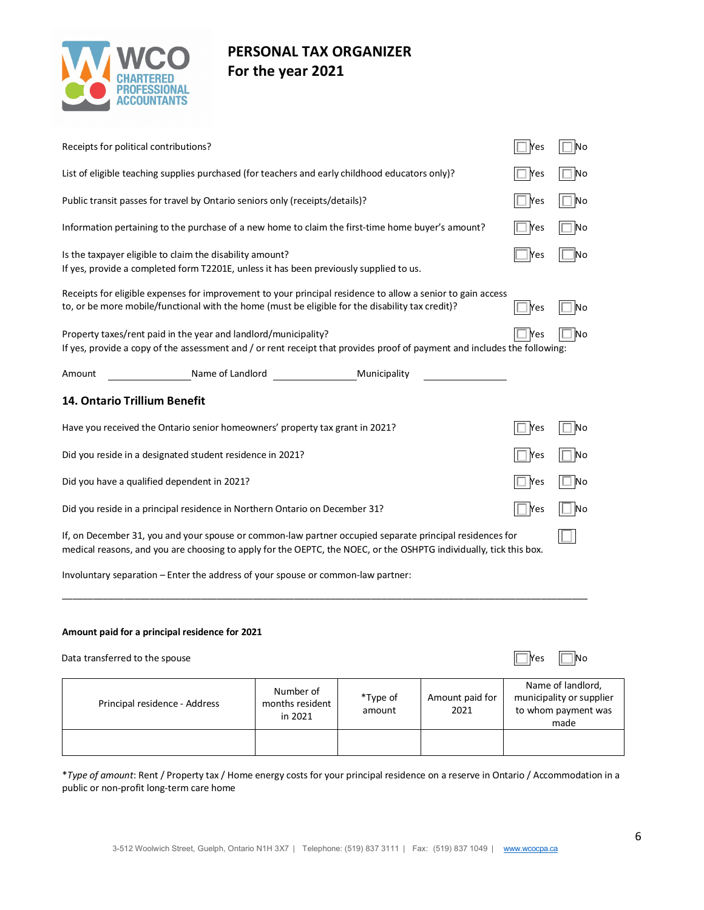

| Receipts for political contributions?                                                                                                                                                                                          |                                         | Yes                 | `lNo                    |            |                                                                              |
|--------------------------------------------------------------------------------------------------------------------------------------------------------------------------------------------------------------------------------|-----------------------------------------|---------------------|-------------------------|------------|------------------------------------------------------------------------------|
| List of eligible teaching supplies purchased (for teachers and early childhood educators only)?                                                                                                                                |                                         |                     |                         | Yes        | $\Box$ No                                                                    |
| Public transit passes for travel by Ontario seniors only (receipts/details)?                                                                                                                                                   |                                         |                     |                         | Yes        | $\Box$ No                                                                    |
| Information pertaining to the purchase of a new home to claim the first-time home buyer's amount?                                                                                                                              |                                         |                     |                         | Yes        | $\Box$ No                                                                    |
| Is the taxpayer eligible to claim the disability amount?<br>If yes, provide a completed form T2201E, unless it has been previously supplied to us.                                                                             | Yes                                     | No                  |                         |            |                                                                              |
| Receipts for eligible expenses for improvement to your principal residence to allow a senior to gain access<br>to, or be more mobile/functional with the home (must be eligible for the disability tax credit)?                | Yes                                     | No                  |                         |            |                                                                              |
| Property taxes/rent paid in the year and landlord/municipality?<br>If yes, provide a copy of the assessment and / or rent receipt that provides proof of payment and includes the following:                                   |                                         |                     |                         | Yes        | ∐No                                                                          |
| Name of Landlord<br>Amount                                                                                                                                                                                                     |                                         | <b>Municipality</b> |                         |            |                                                                              |
| 14. Ontario Trillium Benefit                                                                                                                                                                                                   |                                         |                     |                         |            |                                                                              |
| Have you received the Ontario senior homeowners' property tax grant in 2021?                                                                                                                                                   |                                         |                     |                         |            | No.                                                                          |
| Did you reside in a designated student residence in 2021?                                                                                                                                                                      |                                         |                     |                         | Yes        | No                                                                           |
| Did you have a qualified dependent in 2021?                                                                                                                                                                                    |                                         |                     |                         | Yes        | ∐ No                                                                         |
| Did you reside in a principal residence in Northern Ontario on December 31?                                                                                                                                                    |                                         |                     |                         | Yes        | _∣ No                                                                        |
| If, on December 31, you and your spouse or common-law partner occupied separate principal residences for<br>medical reasons, and you are choosing to apply for the OEPTC, the NOEC, or the OSHPTG individually, tick this box. |                                         |                     |                         |            |                                                                              |
| Involuntary separation - Enter the address of your spouse or common-law partner:                                                                                                                                               |                                         |                     |                         |            |                                                                              |
| Amount paid for a principal residence for 2021                                                                                                                                                                                 |                                         |                     |                         |            |                                                                              |
| Data transferred to the spouse                                                                                                                                                                                                 |                                         |                     |                         | <b>Yes</b> | No                                                                           |
| Principal residence - Address                                                                                                                                                                                                  | Number of<br>months resident<br>in 2021 | *Type of<br>amount  | Amount paid for<br>2021 |            | Name of landlord,<br>municipality or supplier<br>to whom payment was<br>made |
|                                                                                                                                                                                                                                |                                         |                     |                         |            |                                                                              |

\**Type of amount*: Rent / Property tax / Home energy costs for your principal residence on a reserve in Ontario / Accommodation in a public or non-profit long-term care home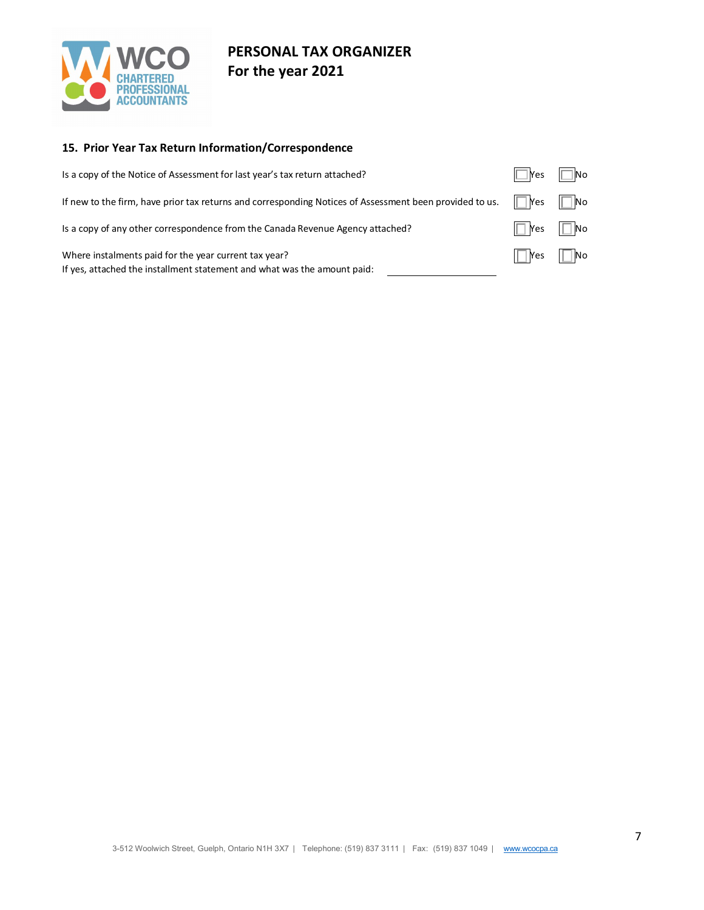

## **15. Prior Year Tax Return Information/Correspondence**

| Is a copy of the Notice of Assessment for last year's tax return attached?                                                        | $\Box$ Yes $\Box$ No |  |
|-----------------------------------------------------------------------------------------------------------------------------------|----------------------|--|
| If new to the firm, have prior tax returns and corresponding Notices of Assessment been provided to us.                           | $\Box$ Yes $\Box$ No |  |
| Is a copy of any other correspondence from the Canada Revenue Agency attached?                                                    | $\Box$ Yes $\Box$ No |  |
| Where instalments paid for the year current tax year?<br>If yes, attached the installment statement and what was the amount paid: | $\Box$ Yes $\Box$ No |  |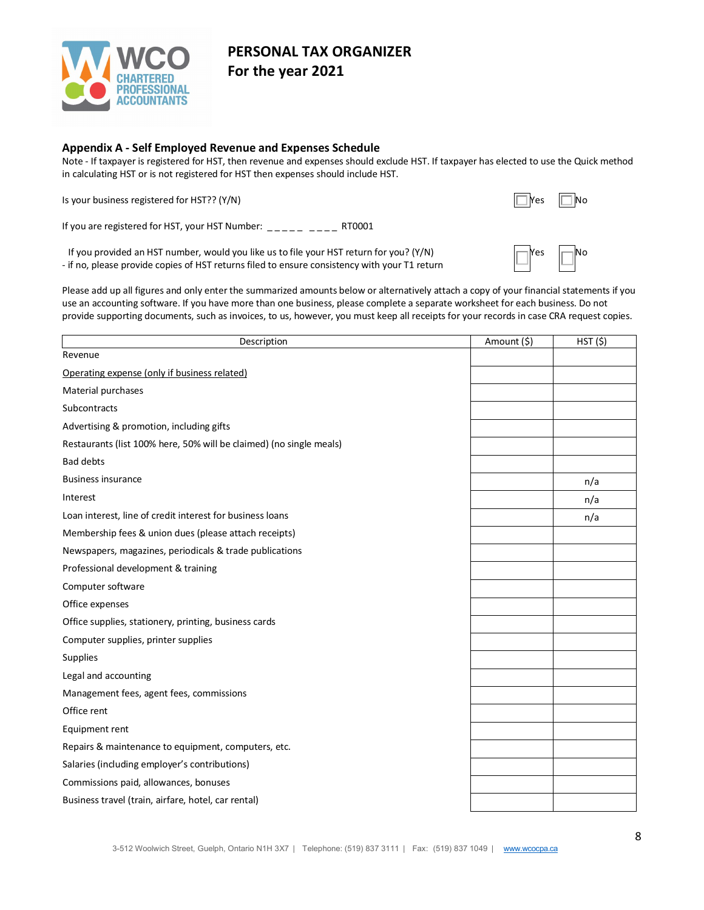

### **Appendix A - Self Employed Revenue and Expenses Schedule**

Note - If taxpayer is registered for HST, then revenue and expenses should exclude HST. If taxpayer has elected to use the Quick method in calculating HST or is not registered for HST then expenses should include HST.

Is your business registered for HST?? (Y/N)  $\Box$ 

If you are registered for HST, your HST Number: \_\_\_\_\_ \_\_\_ RT0001

If you provided an HST number, would you like us to file your HST return for you? (Y/N) - if no, please provide copies of HST returns filed to ensure consistency with your T1 return



Please add up all figures and only enter the summarized amounts below or alternatively attach a copy of your financial statements if you use an accounting software. If you have more than one business, please complete a separate worksheet for each business. Do not provide supporting documents, such as invoices, to us, however, you must keep all receipts for your records in case CRA request copies.

| Description                                                         | Amount (\$) | HST(S) |
|---------------------------------------------------------------------|-------------|--------|
| Revenue                                                             |             |        |
| Operating expense (only if business related)                        |             |        |
| Material purchases                                                  |             |        |
| Subcontracts                                                        |             |        |
| Advertising & promotion, including gifts                            |             |        |
| Restaurants (list 100% here, 50% will be claimed) (no single meals) |             |        |
| <b>Bad debts</b>                                                    |             |        |
| <b>Business insurance</b>                                           |             | n/a    |
| Interest                                                            |             | n/a    |
| Loan interest, line of credit interest for business loans           |             | n/a    |
| Membership fees & union dues (please attach receipts)               |             |        |
| Newspapers, magazines, periodicals & trade publications             |             |        |
| Professional development & training                                 |             |        |
| Computer software                                                   |             |        |
| Office expenses                                                     |             |        |
| Office supplies, stationery, printing, business cards               |             |        |
| Computer supplies, printer supplies                                 |             |        |
| Supplies                                                            |             |        |
| Legal and accounting                                                |             |        |
| Management fees, agent fees, commissions                            |             |        |
| Office rent                                                         |             |        |
| Equipment rent                                                      |             |        |
| Repairs & maintenance to equipment, computers, etc.                 |             |        |
| Salaries (including employer's contributions)                       |             |        |
| Commissions paid, allowances, bonuses                               |             |        |
| Business travel (train, airfare, hotel, car rental)                 |             |        |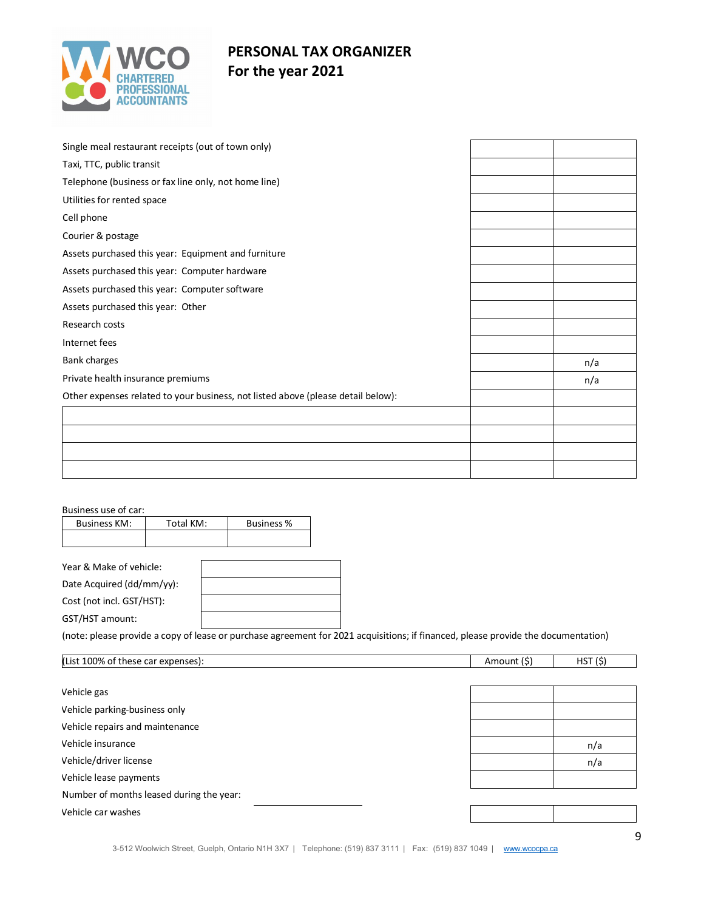

| Single meal restaurant receipts (out of town only)                               |     |
|----------------------------------------------------------------------------------|-----|
| Taxi, TTC, public transit                                                        |     |
| Telephone (business or fax line only, not home line)                             |     |
| Utilities for rented space                                                       |     |
| Cell phone                                                                       |     |
| Courier & postage                                                                |     |
| Assets purchased this year: Equipment and furniture                              |     |
| Assets purchased this year: Computer hardware                                    |     |
| Assets purchased this year: Computer software                                    |     |
| Assets purchased this year: Other                                                |     |
| Research costs                                                                   |     |
| Internet fees                                                                    |     |
| <b>Bank charges</b>                                                              | n/a |
| Private health insurance premiums                                                | n/a |
| Other expenses related to your business, not listed above (please detail below): |     |
|                                                                                  |     |
|                                                                                  |     |
|                                                                                  |     |
|                                                                                  |     |
|                                                                                  |     |

#### Business use of car:

| <b>Business KM:</b>     | Total KM: | <b>Business %</b> |
|-------------------------|-----------|-------------------|
|                         |           |                   |
|                         |           |                   |
| Year & Make of vehicle: |           |                   |

Date Acquired (dd/mm/yy): Cost (not incl. GST/HST):

GST/HST amount:

(note: please provide a copy of lease or purchase agreement for 2021 acquisitions; if financed, please provide the documentation)

| (List 100% of these car expenses):       | Amount (\$) | HST(S) |
|------------------------------------------|-------------|--------|
|                                          |             |        |
| Vehicle gas                              |             |        |
| Vehicle parking-business only            |             |        |
| Vehicle repairs and maintenance          |             |        |
| Vehicle insurance                        |             | n/a    |
| Vehicle/driver license                   |             | n/a    |
| Vehicle lease payments                   |             |        |
| Number of months leased during the year: |             |        |
| Vehicle car washes                       |             |        |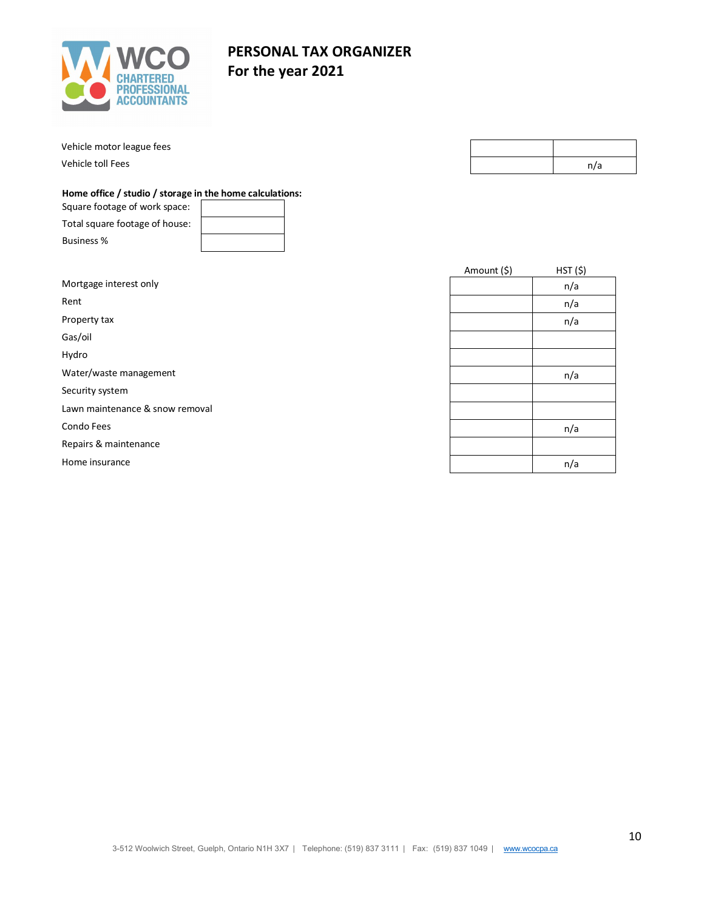

Vehicle motor league fees

Vehicle toll Fees

# **PERSONAL TAX ORGANIZER For the year 2021**

|  | n/a |
|--|-----|
|  |     |

### **Home office / studio / storage in the home calculations:**

| Square footage of work space:  |  |
|--------------------------------|--|
| Total square footage of house: |  |
| <b>Business %</b>              |  |

|                                 | Amount (\$) | HST(S) |
|---------------------------------|-------------|--------|
| Mortgage interest only          |             | n/a    |
| Rent                            |             | n/a    |
| Property tax                    |             | n/a    |
| Gas/oil                         |             |        |
| Hydro                           |             |        |
| Water/waste management          |             | n/a    |
| Security system                 |             |        |
| Lawn maintenance & snow removal |             |        |
| Condo Fees                      |             | n/a    |
| Repairs & maintenance           |             |        |
| Home insurance                  |             | n/a    |